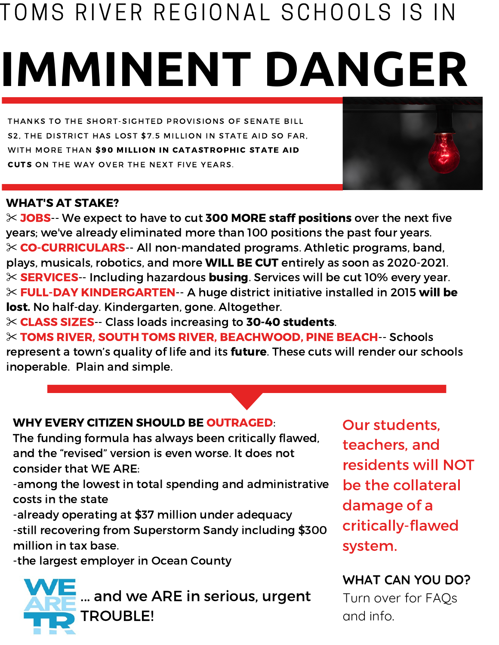# **IMMINENT DANGER** TOMS RIVER REGIONAL SCHOOLS IS IN

THANKS TO THE SHORT-SIGHTED PROVISIONS OF SENATE BILL S2, THE DISTRICT HAS LOST \$7.5 MILLION IN STATE AID SO FAR, WITH MORE THAN \$90 MILLION IN CATASTROPHIC STATE AID CUTS ON THE WAY OVER THE NEXT FIVE YEARS.

# WHAT'S AT STAKE?

✂ JOBS-- We expect to have to cut 300 MORE staff positions over the next five years; we've already eliminated more than 100 positions the past four years. ✂ CO-CURRICULARS-- All non-mandated programs. Athletic programs, band, plays, musicals, robotics, and more WILL BE CUT entirely as soon as 2020-2021. ✂ SERVICES-- Including hazardous busing. Services will be cut 10% every year. ✂ FULL-DAY KINDERGARTEN-- A huge district initiative installed in 2015 will be lost. No half-day. Kindergarten, gone. Altogether.

✂ CLASS SIZES-- Class loads increasing to 30-40 students.

✂ TOMS RIVER, SOUTH TOMS RIVER, BEACHWOOD, PINE BEACH-- Schools represent a town's quality of life and its future. These cuts will render our schools inoperable. Plain and simple.

# WHY EVERY CITIZEN SHOULD BE OUTRAGED:

The funding formula has always been critically flawed, and the "revised" version is even worse. It does not consider that WE ARE:

-among the lowest in total spending and administrative costs in the state

-already operating at \$37 million under adequacy

-still recovering from Superstorm Sandy including \$300 million in tax base.

-the largest employer in Ocean County



Our students, teachers, and residents will NOT be the collateral damage of a critically-flawed system.

**WHAT CAN YOU DO?** Turn over for FAQs and info.